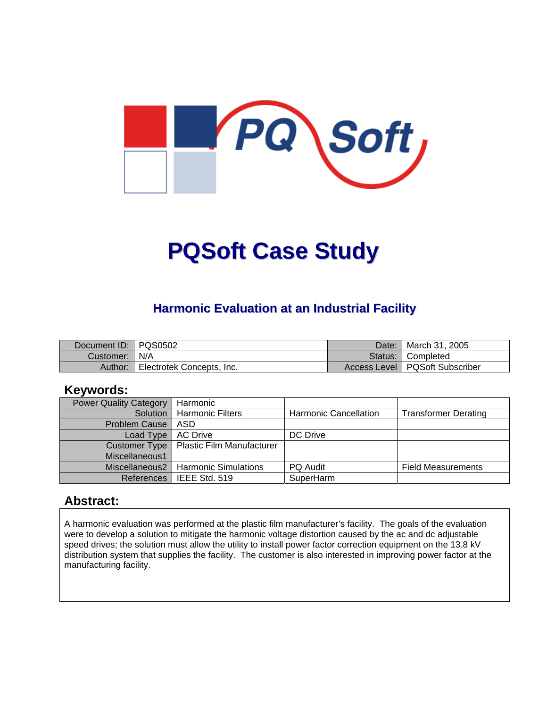

# **PQSoft Case Study**

## **Harmonic Evaluation at an Industrial Facility**

| Document ID:   PQS0502 |                           | Date: | I March 31, 2005                 |
|------------------------|---------------------------|-------|----------------------------------|
| Customer:   N/A        |                           |       | Status: Completed                |
| Author:                | Electrotek Concepts, Inc. |       | Access Level   PQSoft Subscriber |

## **Keywords:**

| <b>Power Quality Category</b> | Harmonic                                  |                       |                             |
|-------------------------------|-------------------------------------------|-----------------------|-----------------------------|
| Solution                      | <b>Harmonic Filters</b>                   | Harmonic Cancellation | <b>Transformer Derating</b> |
| <b>Problem Cause</b>          | ASD                                       |                       |                             |
| Load Type                     | <b>AC Drive</b>                           | DC Drive              |                             |
|                               | Customer Type   Plastic Film Manufacturer |                       |                             |
| Miscellaneous1                |                                           |                       |                             |
| Miscellaneous2                | <b>Harmonic Simulations</b>               | <b>PQ Audit</b>       | <b>Field Measurements</b>   |
| References                    | l IEEE Std. 519                           | SuperHarm             |                             |

## **Abstract:**

A harmonic evaluation was performed at the plastic film manufacturer's facility. The goals of the evaluation were to develop a solution to mitigate the harmonic voltage distortion caused by the ac and dc adjustable speed drives; the solution must allow the utility to install power factor correction equipment on the 13.8 kV distribution system that supplies the facility. The customer is also interested in improving power factor at the manufacturing facility.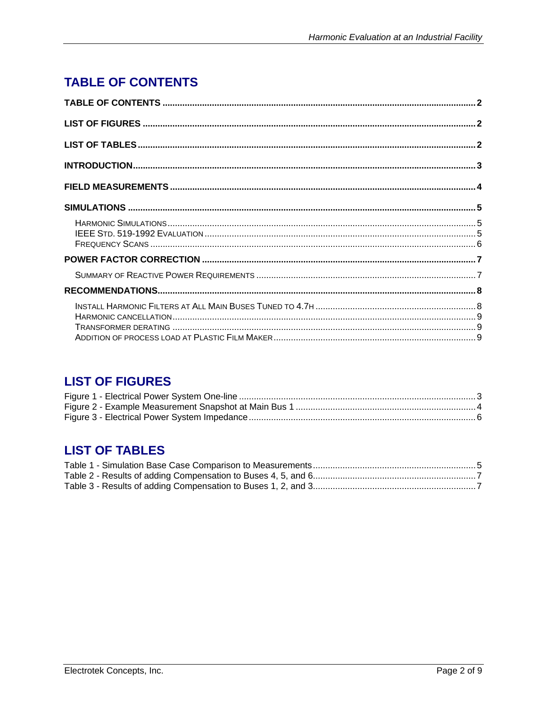# <span id="page-1-0"></span>**TABLE OF CONTENTS**

# **LIST OF FIGURES**

# **LIST OF TABLES**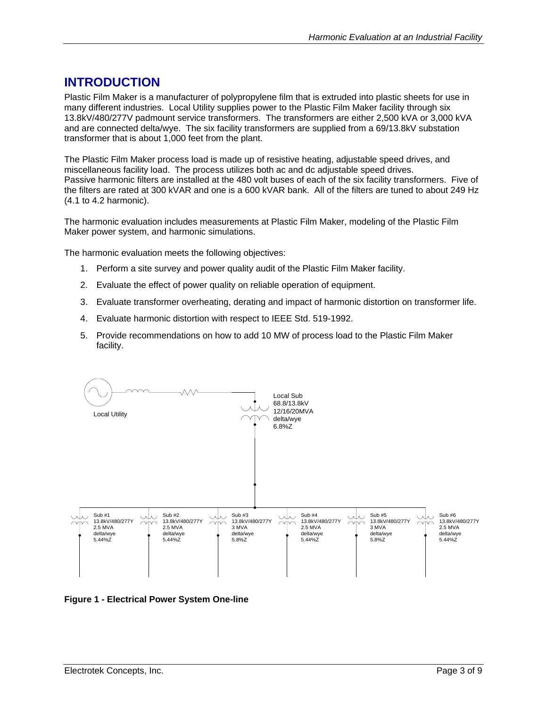## <span id="page-2-0"></span>**INTRODUCTION**

Plastic Film Maker is a manufacturer of polypropylene film that is extruded into plastic sheets for use in many different industries. Local Utility supplies power to the Plastic Film Maker facility through six 13.8kV/480/277V padmount service transformers. The transformers are either 2,500 kVA or 3,000 kVA and are connected delta/wye. The six facility transformers are supplied from a 69/13.8kV substation transformer that is about 1,000 feet from the plant.

The Plastic Film Maker process load is made up of resistive heating, adjustable speed drives, and miscellaneous facility load. The process utilizes both ac and dc adjustable speed drives. Passive harmonic filters are installed at the 480 volt buses of each of the six facility transformers. Five of the filters are rated at 300 kVAR and one is a 600 kVAR bank. All of the filters are tuned to about 249 Hz (4.1 to 4.2 harmonic).

The harmonic evaluation includes measurements at Plastic Film Maker, modeling of the Plastic Film Maker power system, and harmonic simulations.

The harmonic evaluation meets the following objectives:

- 1. Perform a site survey and power quality audit of the Plastic Film Maker facility.
- 2. Evaluate the effect of power quality on reliable operation of equipment.
- 3. Evaluate transformer overheating, derating and impact of harmonic distortion on transformer life.
- 4. Evaluate harmonic distortion with respect to IEEE Std. 519-1992.
- 5. Provide recommendations on how to add 10 MW of process load to the Plastic Film Maker facility.



**Figure 1 - Electrical Power System One-line**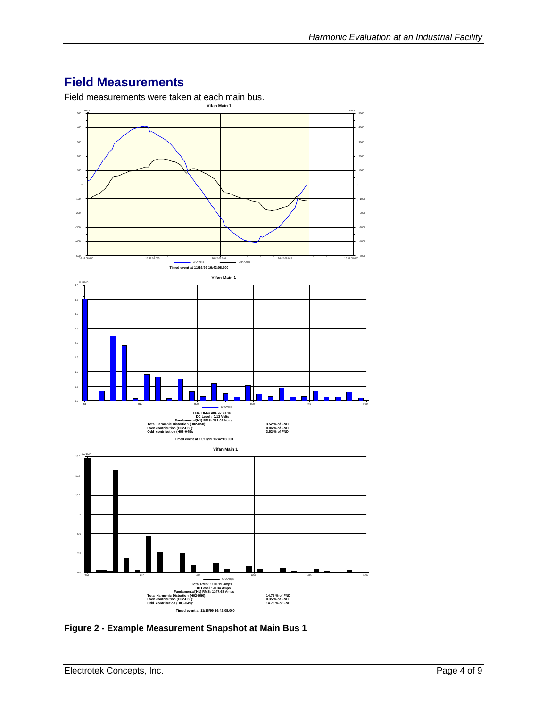# <span id="page-3-0"></span>**Field Measurements**

Field measurements were taken at each main bus.



**Figure 2 - Example Measurement Snapshot at Main Bus 1**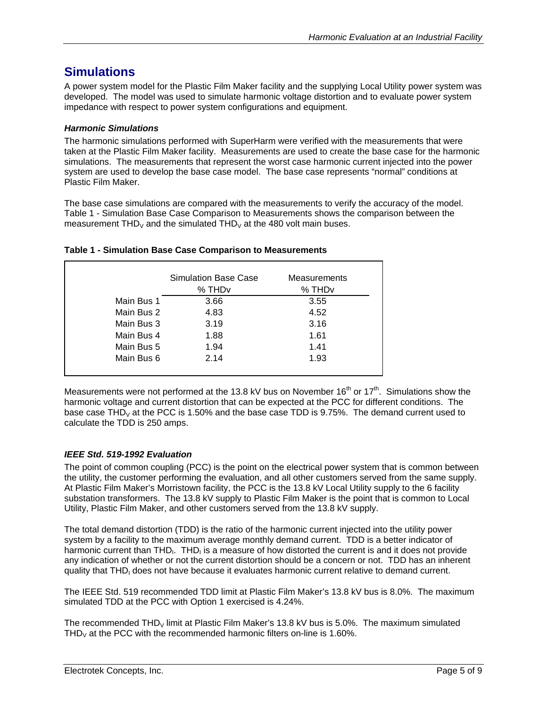## <span id="page-4-0"></span>**Simulations**

A power system model for the Plastic Film Maker facility and the supplying Local Utility power system was developed. The model was used to simulate harmonic voltage distortion and to evaluate power system impedance with respect to power system configurations and equipment.

## *Harmonic Simulations*

The harmonic simulations performed with SuperHarm were verified with the measurements that were taken at the Plastic Film Maker facility. Measurements are used to create the base case for the harmonic simulations. The measurements that represent the worst case harmonic current injected into the power system are used to develop the base case model. The base case represents "normal" conditions at Plastic Film Maker.

The base case simulations are compared with the measurements to verify the accuracy of the model. [Table 1 - Simulation Base Case Comparison to Measurements](#page-4-1) shows the comparison between the measurement  $THD<sub>V</sub>$  and the simulated  $THD<sub>V</sub>$  at the 480 volt main buses.

|            | <b>Simulation Base Case</b><br>% THD <sub>v</sub> | Measurements<br>% THD <sub>v</sub> |
|------------|---------------------------------------------------|------------------------------------|
| Main Bus 1 | 3.66                                              | 3.55                               |
| Main Bus 2 | 4.83                                              | 4.52                               |
| Main Bus 3 | 3.19                                              | 3.16                               |
| Main Bus 4 | 1.88                                              | 1.61                               |
| Main Bus 5 | 1.94                                              | 1.41                               |
| Main Bus 6 | 2.14                                              | 1.93                               |

#### <span id="page-4-1"></span>**Table 1 - Simulation Base Case Comparison to Measurements**

Measurements were not performed at the 13.8 kV bus on November 16<sup>th</sup> or 17<sup>th</sup>. Simulations show the harmonic voltage and current distortion that can be expected at the PCC for different conditions. The base case THD<sub>V</sub> at the PCC is 1.50% and the base case TDD is 9.75%. The demand current used to calculate the TDD is 250 amps.

## *IEEE Std. 519-1992 Evaluation*

The point of common coupling (PCC) is the point on the electrical power system that is common between the utility, the customer performing the evaluation, and all other customers served from the same supply. At Plastic Film Maker's Morristown facility, the PCC is the 13.8 kV Local Utility supply to the 6 facility substation transformers. The 13.8 kV supply to Plastic Film Maker is the point that is common to Local Utility, Plastic Film Maker, and other customers served from the 13.8 kV supply.

The total demand distortion (TDD) is the ratio of the harmonic current injected into the utility power system by a facility to the maximum average monthly demand current. TDD is a better indicator of harmonic current than THD<sub>I</sub>. THD<sub>I</sub> is a measure of how distorted the current is and it does not provide any indication of whether or not the current distortion should be a concern or not. TDD has an inherent quality that THD<sub>I</sub> does not have because it evaluates harmonic current relative to demand current.

The IEEE Std. 519 recommended TDD limit at Plastic Film Maker's 13.8 kV bus is 8.0%. The maximum simulated TDD at the PCC with Option 1 exercised is 4.24%.

The recommended THD<sub>V</sub> limit at Plastic Film Maker's 13.8 kV bus is 5.0%. The maximum simulated THD<sub>V</sub> at the PCC with the recommended harmonic filters on-line is 1.60%.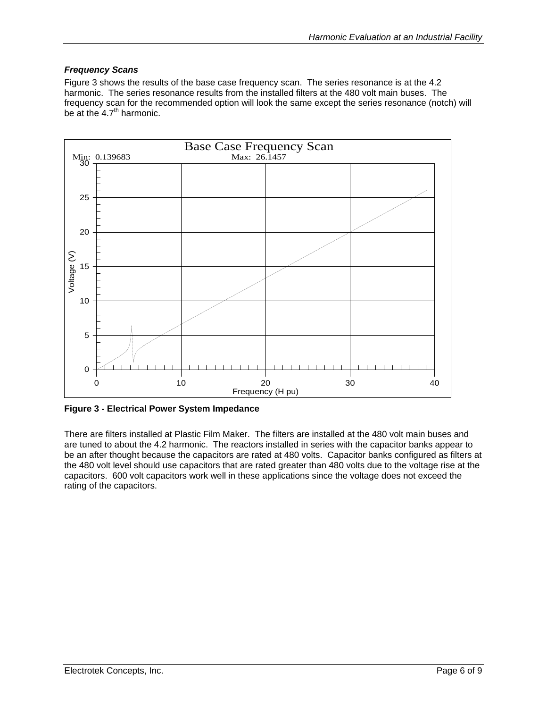## <span id="page-5-0"></span>*Frequency Scans*

[Figure 3](#page-5-1) shows the results of the base case frequency scan. The series resonance is at the 4.2 harmonic. The series resonance results from the installed filters at the 480 volt main buses. The frequency scan for the recommended option will look the same except the series resonance (notch) will be at the  $4.7<sup>th</sup>$  harmonic.

<span id="page-5-1"></span>

**Figure 3 - Electrical Power System Impedance** 

There are filters installed at Plastic Film Maker. The filters are installed at the 480 volt main buses and are tuned to about the 4.2 harmonic. The reactors installed in series with the capacitor banks appear to be an after thought because the capacitors are rated at 480 volts. Capacitor banks configured as filters at the 480 volt level should use capacitors that are rated greater than 480 volts due to the voltage rise at the capacitors. 600 volt capacitors work well in these applications since the voltage does not exceed the rating of the capacitors.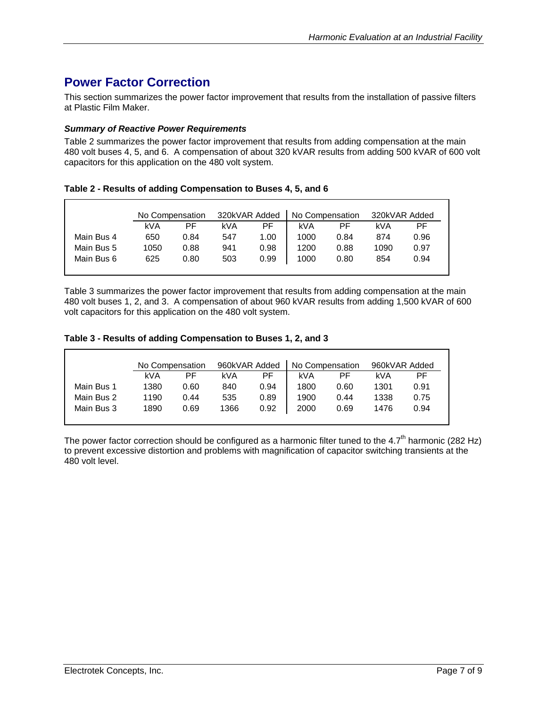# <span id="page-6-0"></span>**Power Factor Correction**

This section summarizes the power factor improvement that results from the installation of passive filters at Plastic Film Maker.

#### *Summary of Reactive Power Requirements*

[Table 2](#page-6-1) summarizes the power factor improvement that results from adding compensation at the main 480 volt buses 4, 5, and 6. A compensation of about 320 kVAR results from adding 500 kVAR of 600 volt capacitors for this application on the 480 volt system.

<span id="page-6-1"></span>**Table 2 - Results of adding Compensation to Buses 4, 5, and 6** 

|            | No Compensation |      | 320kVAR Added |      | No Compensation |      | 320kVAR Added |      |
|------------|-----------------|------|---------------|------|-----------------|------|---------------|------|
|            | kVA             | РF   | kVA           | РF   | kVA             | РF   | kVA           | PF   |
| Main Bus 4 | 650             | 0.84 | 547           | 1.00 | 1000            | 0.84 | 874           | 0.96 |
| Main Bus 5 | 1050            | 0.88 | 941           | 0.98 | 1200            | 0.88 | 1090          | 0.97 |
| Main Bus 6 | 625             | 0.80 | 503           | 0.99 | 1000            | 0.80 | 854           | 0.94 |
|            |                 |      |               |      |                 |      |               |      |

[Table 3](#page-6-2) summarizes the power factor improvement that results from adding compensation at the main 480 volt buses 1, 2, and 3. A compensation of about 960 kVAR results from adding 1,500 kVAR of 600 volt capacitors for this application on the 480 volt system.

#### <span id="page-6-2"></span>**Table 3 - Results of adding Compensation to Buses 1, 2, and 3**

|            | No Compensation |      | 960kVAR Added |      | No Compensation |      | 960kVAR Added |      |
|------------|-----------------|------|---------------|------|-----------------|------|---------------|------|
|            | kVA             | РF   | kVA           | РF   | kVA             | РF   | kVA           | РF   |
| Main Bus 1 | 1380            | 0.60 | 840           | 0.94 | 1800            | 0.60 | 1301          | 0.91 |
| Main Bus 2 | 1190            | 0.44 | 535           | 0.89 | 1900            | 0.44 | 1338          | 0.75 |
| Main Bus 3 | 1890            | 0.69 | 1366          | 0.92 | 2000            | 0.69 | 1476          | 0.94 |
|            |                 |      |               |      |                 |      |               |      |

The power factor correction should be configured as a harmonic filter tuned to the 4.7<sup>th</sup> harmonic (282 Hz) to prevent excessive distortion and problems with magnification of capacitor switching transients at the 480 volt level.

Г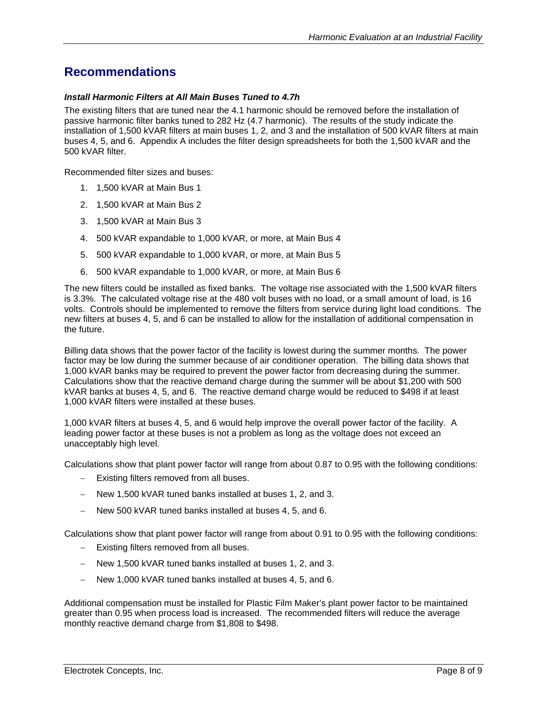## <span id="page-7-0"></span>**Recommendations**

#### *Install Harmonic Filters at All Main Buses Tuned to 4.7h*

The existing filters that are tuned near the 4.1 harmonic should be removed before the installation of passive harmonic filter banks tuned to 282 Hz (4.7 harmonic). The results of the study indicate the installation of 1,500 kVAR filters at main buses 1, 2, and 3 and the installation of 500 kVAR filters at main buses 4, 5, and 6. Appendix A includes the filter design spreadsheets for both the 1,500 kVAR and the 500 kVAR filter.

Recommended filter sizes and buses:

- 1. 1,500 kVAR at Main Bus 1
- 2. 1,500 kVAR at Main Bus 2
- 3. 1,500 kVAR at Main Bus 3
- 4. 500 kVAR expandable to 1,000 kVAR, or more, at Main Bus 4
- 5. 500 kVAR expandable to 1,000 kVAR, or more, at Main Bus 5
- 6. 500 kVAR expandable to 1,000 kVAR, or more, at Main Bus 6

The new filters could be installed as fixed banks. The voltage rise associated with the 1,500 kVAR filters is 3.3%. The calculated voltage rise at the 480 volt buses with no load, or a small amount of load, is 16 volts. Controls should be implemented to remove the filters from service during light load conditions. The new filters at buses 4, 5, and 6 can be installed to allow for the installation of additional compensation in the future.

Billing data shows that the power factor of the facility is lowest during the summer months. The power factor may be low during the summer because of air conditioner operation. The billing data shows that 1,000 kVAR banks may be required to prevent the power factor from decreasing during the summer. Calculations show that the reactive demand charge during the summer will be about \$1,200 with 500 kVAR banks at buses 4, 5, and 6. The reactive demand charge would be reduced to \$498 if at least 1,000 kVAR filters were installed at these buses.

1,000 kVAR filters at buses 4, 5, and 6 would help improve the overall power factor of the facility. A leading power factor at these buses is not a problem as long as the voltage does not exceed an unacceptably high level.

Calculations show that plant power factor will range from about 0.87 to 0.95 with the following conditions:

- − Existing filters removed from all buses.
- − New 1,500 kVAR tuned banks installed at buses 1, 2, and 3.
- − New 500 kVAR tuned banks installed at buses 4, 5, and 6.

Calculations show that plant power factor will range from about 0.91 to 0.95 with the following conditions:

- − Existing filters removed from all buses.
- − New 1,500 kVAR tuned banks installed at buses 1, 2, and 3.
- − New 1,000 kVAR tuned banks installed at buses 4, 5, and 6.

Additional compensation must be installed for Plastic Film Maker's plant power factor to be maintained greater than 0.95 when process load is increased. The recommended filters will reduce the average monthly reactive demand charge from \$1,808 to \$498.